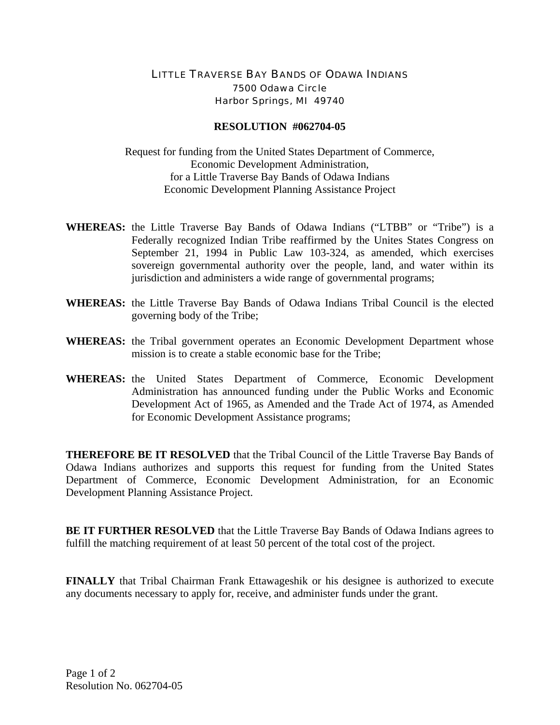## LITTLE TRAVERSE BAY BANDS OF ODAWA INDIANS 7500 Odawa Circle Harbor Springs, MI 49740

## **RESOLUTION #062704-05**

Request for funding from the United States Department of Commerce, Economic Development Administration, for a Little Traverse Bay Bands of Odawa Indians Economic Development Planning Assistance Project

- **WHEREAS:** the Little Traverse Bay Bands of Odawa Indians ("LTBB" or "Tribe") is a Federally recognized Indian Tribe reaffirmed by the Unites States Congress on September 21, 1994 in Public Law 103-324, as amended, which exercises sovereign governmental authority over the people, land, and water within its jurisdiction and administers a wide range of governmental programs;
- **WHEREAS:** the Little Traverse Bay Bands of Odawa Indians Tribal Council is the elected governing body of the Tribe;
- **WHEREAS:** the Tribal government operates an Economic Development Department whose mission is to create a stable economic base for the Tribe;
- **WHEREAS:** the United States Department of Commerce, Economic Development Administration has announced funding under the Public Works and Economic Development Act of 1965, as Amended and the Trade Act of 1974, as Amended for Economic Development Assistance programs;

**THEREFORE BE IT RESOLVED** that the Tribal Council of the Little Traverse Bay Bands of Odawa Indians authorizes and supports this request for funding from the United States Department of Commerce, Economic Development Administration, for an Economic Development Planning Assistance Project.

**BE IT FURTHER RESOLVED** that the Little Traverse Bay Bands of Odawa Indians agrees to fulfill the matching requirement of at least 50 percent of the total cost of the project.

**FINALLY** that Tribal Chairman Frank Ettawageshik or his designee is authorized to execute any documents necessary to apply for, receive, and administer funds under the grant.